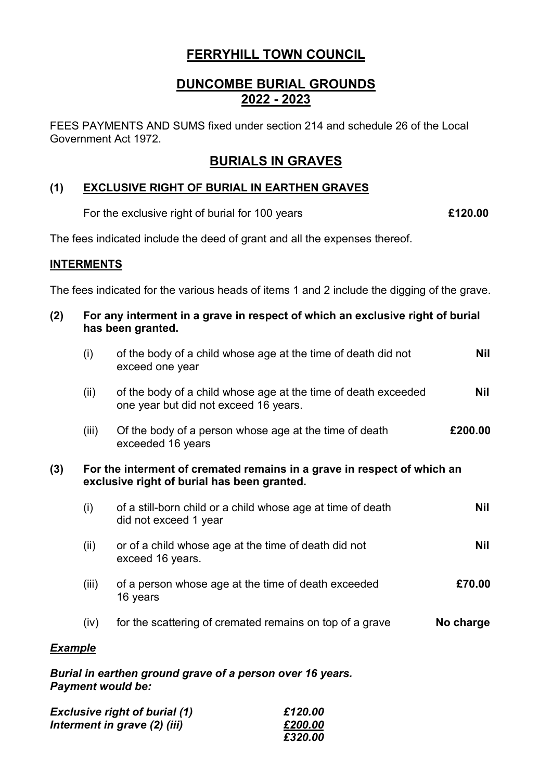# **FERRYHILL TOWN COUNCIL**

# **DUNCOMBE BURIAL GROUNDS 2022 - 2023**

FEES PAYMENTS AND SUMS fixed under section 214 and schedule 26 of the Local Government Act 1972.

## **BURIALS IN GRAVES**

### **(1) EXCLUSIVE RIGHT OF BURIAL IN EARTHEN GRAVES**

For the exclusive right of burial for 100 years **£120.00**

The fees indicated include the deed of grant and all the expenses thereof.

#### **INTERMENTS**

The fees indicated for the various heads of items 1 and 2 include the digging of the grave.

| (2)            | For any interment in a grave in respect of which an exclusive right of burial<br>has been granted.                     |                                                                                                         |            |  |  |
|----------------|------------------------------------------------------------------------------------------------------------------------|---------------------------------------------------------------------------------------------------------|------------|--|--|
|                | (i)                                                                                                                    | of the body of a child whose age at the time of death did not<br>exceed one year                        | <b>Nil</b> |  |  |
|                | (ii)                                                                                                                   | of the body of a child whose age at the time of death exceeded<br>one year but did not exceed 16 years. | Nil        |  |  |
|                | (iii)                                                                                                                  | Of the body of a person whose age at the time of death<br>exceeded 16 years                             | £200.00    |  |  |
| (3)            | For the interment of cremated remains in a grave in respect of which an<br>exclusive right of burial has been granted. |                                                                                                         |            |  |  |
|                | (i)                                                                                                                    | of a still-born child or a child whose age at time of death<br>did not exceed 1 year                    | <b>Nil</b> |  |  |
|                | (ii)                                                                                                                   | or of a child whose age at the time of death did not<br>exceed 16 years.                                | <b>Nil</b> |  |  |
|                | (iii)                                                                                                                  | of a person whose age at the time of death exceeded<br>16 years                                         | £70.00     |  |  |
|                | (iv)                                                                                                                   | for the scattering of cremated remains on top of a grave                                                | No charge  |  |  |
| <b>Example</b> |                                                                                                                        |                                                                                                         |            |  |  |
|                |                                                                                                                        | Burial in earthen ground grave of a person over 16 years                                                |            |  |  |

*Burial in earthen ground grave of a person over 16 years. Payment would be:*

| <b>Exclusive right of burial (1)</b> | £120.00 |
|--------------------------------------|---------|
| Interment in grave (2) (iii)         | £200.00 |
|                                      | £320.00 |